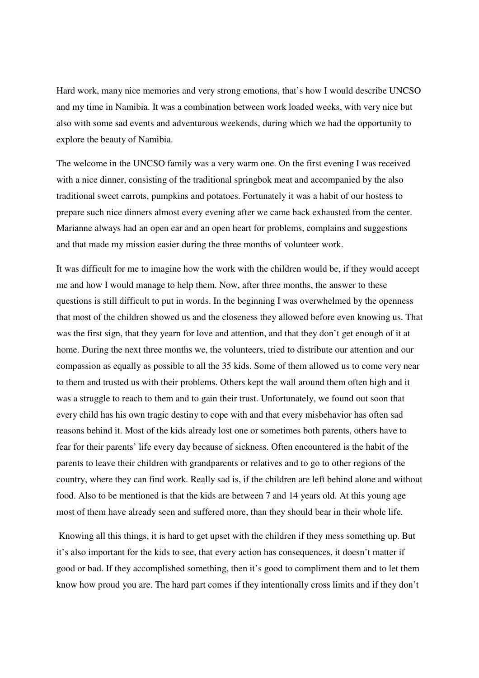Hard work, many nice memories and very strong emotions, that's how I would describe UNCSO and my time in Namibia. It was a combination between work loaded weeks, with very nice but also with some sad events and adventurous weekends, during which we had the opportunity to explore the beauty of Namibia.

The welcome in the UNCSO family was a very warm one. On the first evening I was received with a nice dinner, consisting of the traditional springbok meat and accompanied by the also traditional sweet carrots, pumpkins and potatoes. Fortunately it was a habit of our hostess to prepare such nice dinners almost every evening after we came back exhausted from the center. Marianne always had an open ear and an open heart for problems, complains and suggestions and that made my mission easier during the three months of volunteer work.

It was difficult for me to imagine how the work with the children would be, if they would accept me and how I would manage to help them. Now, after three months, the answer to these questions is still difficult to put in words. In the beginning I was overwhelmed by the openness that most of the children showed us and the closeness they allowed before even knowing us. That was the first sign, that they yearn for love and attention, and that they don't get enough of it at home. During the next three months we, the volunteers, tried to distribute our attention and our compassion as equally as possible to all the 35 kids. Some of them allowed us to come very near to them and trusted us with their problems. Others kept the wall around them often high and it was a struggle to reach to them and to gain their trust. Unfortunately, we found out soon that every child has his own tragic destiny to cope with and that every misbehavior has often sad reasons behind it. Most of the kids already lost one or sometimes both parents, others have to fear for their parents' life every day because of sickness. Often encountered is the habit of the parents to leave their children with grandparents or relatives and to go to other regions of the country, where they can find work. Really sad is, if the children are left behind alone and without food. Also to be mentioned is that the kids are between 7 and 14 years old. At this young age most of them have already seen and suffered more, than they should bear in their whole life.

 Knowing all this things, it is hard to get upset with the children if they mess something up. But it's also important for the kids to see, that every action has consequences, it doesn't matter if good or bad. If they accomplished something, then it's good to compliment them and to let them know how proud you are. The hard part comes if they intentionally cross limits and if they don't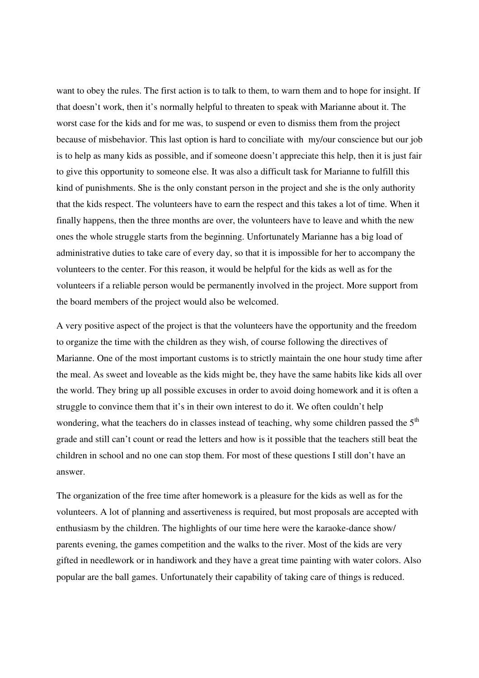want to obey the rules. The first action is to talk to them, to warn them and to hope for insight. If that doesn't work, then it's normally helpful to threaten to speak with Marianne about it. The worst case for the kids and for me was, to suspend or even to dismiss them from the project because of misbehavior. This last option is hard to conciliate with my/our conscience but our job is to help as many kids as possible, and if someone doesn't appreciate this help, then it is just fair to give this opportunity to someone else. It was also a difficult task for Marianne to fulfill this kind of punishments. She is the only constant person in the project and she is the only authority that the kids respect. The volunteers have to earn the respect and this takes a lot of time. When it finally happens, then the three months are over, the volunteers have to leave and whith the new ones the whole struggle starts from the beginning. Unfortunately Marianne has a big load of administrative duties to take care of every day, so that it is impossible for her to accompany the volunteers to the center. For this reason, it would be helpful for the kids as well as for the volunteers if a reliable person would be permanently involved in the project. More support from the board members of the project would also be welcomed.

A very positive aspect of the project is that the volunteers have the opportunity and the freedom to organize the time with the children as they wish, of course following the directives of Marianne. One of the most important customs is to strictly maintain the one hour study time after the meal. As sweet and loveable as the kids might be, they have the same habits like kids all over the world. They bring up all possible excuses in order to avoid doing homework and it is often a struggle to convince them that it's in their own interest to do it. We often couldn't help wondering, what the teachers do in classes instead of teaching, why some children passed the  $5<sup>th</sup>$ grade and still can't count or read the letters and how is it possible that the teachers still beat the children in school and no one can stop them. For most of these questions I still don't have an answer.

The organization of the free time after homework is a pleasure for the kids as well as for the volunteers. A lot of planning and assertiveness is required, but most proposals are accepted with enthusiasm by the children. The highlights of our time here were the karaoke-dance show/ parents evening, the games competition and the walks to the river. Most of the kids are very gifted in needlework or in handiwork and they have a great time painting with water colors. Also popular are the ball games. Unfortunately their capability of taking care of things is reduced.